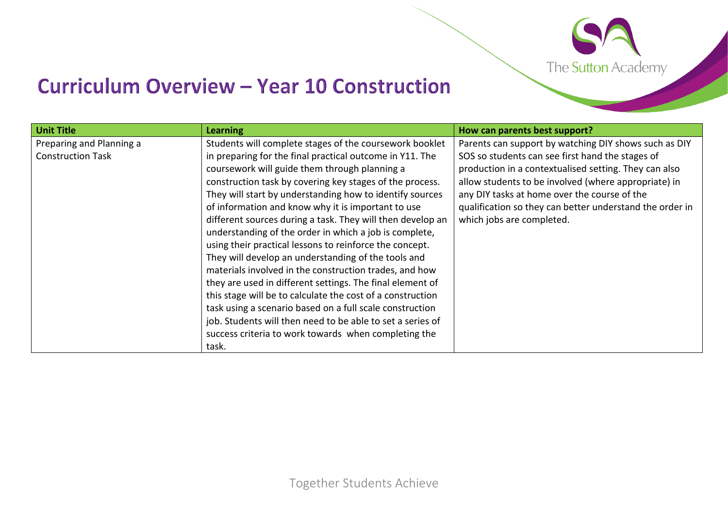

## **Curriculum Overview - Year 10 Construction**

| <b>Unit Title</b>        | <b>Learning</b>                                            | How can parents best support?                            |
|--------------------------|------------------------------------------------------------|----------------------------------------------------------|
| Preparing and Planning a | Students will complete stages of the coursework booklet    | Parents can support by watching DIY shows such as DIY    |
| <b>Construction Task</b> | in preparing for the final practical outcome in Y11. The   | SOS so students can see first hand the stages of         |
|                          | coursework will guide them through planning a              | production in a contextualised setting. They can also    |
|                          | construction task by covering key stages of the process.   | allow students to be involved (where appropriate) in     |
|                          | They will start by understanding how to identify sources   | any DIY tasks at home over the course of the             |
|                          | of information and know why it is important to use         | qualification so they can better understand the order in |
|                          | different sources during a task. They will then develop an | which jobs are completed.                                |
|                          | understanding of the order in which a job is complete,     |                                                          |
|                          | using their practical lessons to reinforce the concept.    |                                                          |
|                          | They will develop an understanding of the tools and        |                                                          |
|                          | materials involved in the construction trades, and how     |                                                          |
|                          | they are used in different settings. The final element of  |                                                          |
|                          | this stage will be to calculate the cost of a construction |                                                          |
|                          | task using a scenario based on a full scale construction   |                                                          |
|                          | job. Students will then need to be able to set a series of |                                                          |
|                          | success criteria to work towards when completing the       |                                                          |
|                          | task.                                                      |                                                          |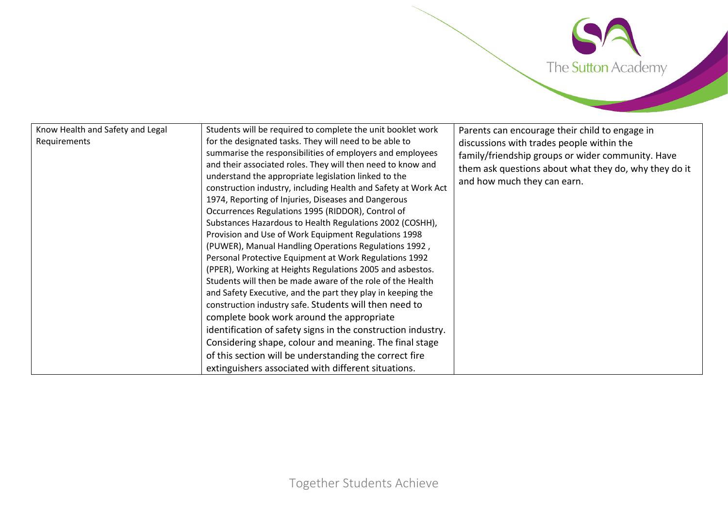

| Know Health and Safety and Legal<br>Requirements | Students will be required to complete the unit booklet work<br>for the designated tasks. They will need to be able to<br>summarise the responsibilities of employers and employees<br>and their associated roles. They will then need to know and<br>understand the appropriate legislation linked to the<br>construction industry, including Health and Safety at Work Act<br>1974, Reporting of Injuries, Diseases and Dangerous<br>Occurrences Regulations 1995 (RIDDOR), Control of<br>Substances Hazardous to Health Regulations 2002 (COSHH),<br>Provision and Use of Work Equipment Regulations 1998<br>(PUWER), Manual Handling Operations Regulations 1992,<br>Personal Protective Equipment at Work Regulations 1992<br>(PPER), Working at Heights Regulations 2005 and asbestos.<br>Students will then be made aware of the role of the Health<br>and Safety Executive, and the part they play in keeping the<br>construction industry safe. Students will then need to<br>complete book work around the appropriate<br>identification of safety signs in the construction industry.<br>Considering shape, colour and meaning. The final stage<br>of this section will be understanding the correct fire<br>extinguishers associated with different situations. | Parents can encourage their child to engage in<br>discussions with trades people within the<br>family/friendship groups or wider community. Have<br>them ask questions about what they do, why they do it<br>and how much they can earn. |
|--------------------------------------------------|----------------------------------------------------------------------------------------------------------------------------------------------------------------------------------------------------------------------------------------------------------------------------------------------------------------------------------------------------------------------------------------------------------------------------------------------------------------------------------------------------------------------------------------------------------------------------------------------------------------------------------------------------------------------------------------------------------------------------------------------------------------------------------------------------------------------------------------------------------------------------------------------------------------------------------------------------------------------------------------------------------------------------------------------------------------------------------------------------------------------------------------------------------------------------------------------------------------------------------------------------------------------------|------------------------------------------------------------------------------------------------------------------------------------------------------------------------------------------------------------------------------------------|
|--------------------------------------------------|----------------------------------------------------------------------------------------------------------------------------------------------------------------------------------------------------------------------------------------------------------------------------------------------------------------------------------------------------------------------------------------------------------------------------------------------------------------------------------------------------------------------------------------------------------------------------------------------------------------------------------------------------------------------------------------------------------------------------------------------------------------------------------------------------------------------------------------------------------------------------------------------------------------------------------------------------------------------------------------------------------------------------------------------------------------------------------------------------------------------------------------------------------------------------------------------------------------------------------------------------------------------------|------------------------------------------------------------------------------------------------------------------------------------------------------------------------------------------------------------------------------------------|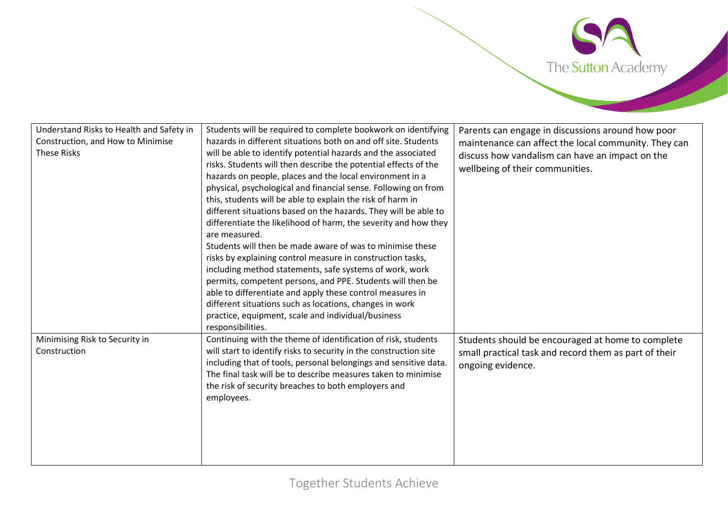

| Understand Risks to Health and Safety in<br>Construction, and How to Minimise<br><b>These Risks</b> | Students will be required to complete bookwork on identifying<br>hazards in different situations both on and off site. Students<br>will be able to identify potential hazards and the associated<br>risks. Students will then describe the potential effects of the<br>hazards on people, places and the local environment in a<br>physical, psychological and financial sense. Following on from<br>this, students will be able to explain the risk of harm in<br>different situations based on the hazards. They will be able to<br>differentiate the likelihood of harm, the severity and how they<br>are measured.<br>Students will then be made aware of was to minimise these<br>risks by explaining control measure in construction tasks,<br>including method statements, safe systems of work, work<br>permits, competent persons, and PPE. Students will then be<br>able to differentiate and apply these control measures in<br>different situations such as locations, changes in work | Parents can engage in discussions around how poor<br>maintenance can affect the local community. They can<br>discuss how vandalism can have an impact on the<br>wellbeing of their communities. |
|-----------------------------------------------------------------------------------------------------|----------------------------------------------------------------------------------------------------------------------------------------------------------------------------------------------------------------------------------------------------------------------------------------------------------------------------------------------------------------------------------------------------------------------------------------------------------------------------------------------------------------------------------------------------------------------------------------------------------------------------------------------------------------------------------------------------------------------------------------------------------------------------------------------------------------------------------------------------------------------------------------------------------------------------------------------------------------------------------------------------|-------------------------------------------------------------------------------------------------------------------------------------------------------------------------------------------------|
| Minimising Risk to Security in<br>Construction                                                      | practice, equipment, scale and individual/business<br>responsibilities.<br>Continuing with the theme of identification of risk, students<br>will start to identify risks to security in the construction site<br>including that of tools, personal belongings and sensitive data.<br>The final task will be to describe measures taken to minimise<br>the risk of security breaches to both employers and<br>employees.                                                                                                                                                                                                                                                                                                                                                                                                                                                                                                                                                                            | Students should be encouraged at home to complete<br>small practical task and record them as part of their<br>ongoing evidence.                                                                 |